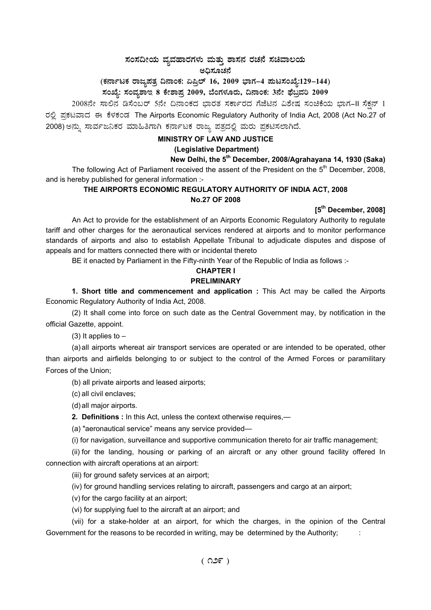## $\,$ ಸಂಸದೀಯ ವ್ಯವಹಾರಗಳು ಮತ್ತು ಶಾಸನ ರಚನೆ ಸಚಿವಾಲಯ ಅದಿಸೂಚನೆ

(ಕರ್ನಾಟಕ ರಾಜ್ಯಪತ್ರ ದಿನಾಂಕ: ಏಪ್ರಿಲ್ 16, 2009 ಭಾಗ–4 **ಪುಟಸಂಖ್ಯೆ:129–144)** 

ಸಂಖ್ಯೆ: ಸಂವ್ಯಶಾಇ 8 ಕೇಶಾಪ್ರ 2009, ಬೆಂಗಳೂರು, ದಿನಾಂಕ: 3ನೇ ಫೆಬ್ರವರಿ 2009 <sub>-</sub>

 $2008$ ನೇ ಸಾಲಿನ ಡಿಸೆಂಬರ್ 5ನೇ ದಿನಾಂಕದ ಭಾರತ ಸರ್ಕಾರದ ಗೆಜೆಟಿನ ವಿಶೇಷ ಸಂಚಿಕೆಯ ಭಾಗ−II ಸೆಕ್ಷನ್ 1 ರಲ್ಲಿ ಪ್ರಕಟವಾದ ಈ ಕೆಳಕಂಡ The Airports Economic Regulatory Authority of India Act, 2008 (Act No.27 of 2008) ಅನ್ನು ಸಾರ್ವಜನಿಕರ ಮಾಹಿತಿಗಾಗಿ ಕರ್ನಾಟಕ ರಾಜ್ಯ ಪತ್ರದಲ್ಲಿ ಮರು ಪ್ರಕಟಿಸಲಾಗಿದೆ.

## **MINISTRY OF LAW AND JUSTICE (Legislative Department)**

## **New Delhi, the 5th December, 2008/Agrahayana 14, 1930 (Saka)**

The following Act of Parliament received the assent of the President on the  $5<sup>th</sup>$  December, 2008, and is hereby published for general information :-

## **THE AIRPORTS ECONOMIC REGULATORY AUTHORITY OF INDIA ACT, 2008 No.27 OF 2008**

## **[5th December, 2008]**

An Act to provide for the establishment of an Airports Economic Regulatory Authority to regulate tariff and other charges for the aeronautical services rendered at airports and to monitor performance standards of airports and also to establish Appellate Tribunal to adjudicate disputes and dispose of appeals and for matters connected there with or incidental thereto

BE it enacted by Parliament in the Fifty-ninth Year of the Republic of India as follows :-

# **CHAPTER I**

## **PRELIMINARY**

**1. Short title and commencement and application :** This Act may be called the Airports Economic Regulatory Authority of India Act, 2008.

(2) It shall come into force on such date as the Central Government may, by notification in the official Gazette, appoint.

(3) It applies to  $-$ 

(a) all airports whereat air transport services are operated or are intended to be operated, other than airports and airfields belonging to or subject to the control of the Armed Forces or paramilitary Forces of the Union;

(b) all private airports and leased airports;

(c) all civil enclaves;

(d) all major airports.

**2. Definitions :** In this Act, unless the context otherwise requires,—

(a) "aeronautical service" means any service provided—

(i) for navigation, surveillance and supportive communication thereto for air traffic management;

(ii) for the landing, housing or parking of an aircraft or any other ground facility offered In connection with aircraft operations at an airport:

(iii) for ground safety services at an airport;

(iv) for ground handling services relating to aircraft, passengers and cargo at an airport;

(v) for the cargo facility at an airport;

(vi) for supplying fuel to the aircraft at an airport; and

(vii) for a stake-holder at an airport, for which the charges, in the opinion of the Central Government for the reasons to be recorded in writing, may be determined by the Authority; :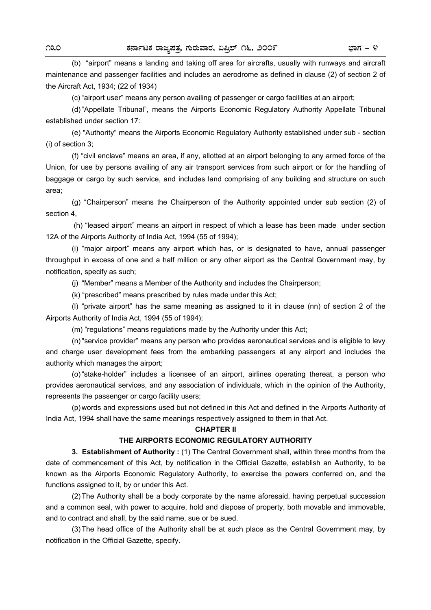(b) "airport" means a landing and taking off area for aircrafts, usually with runways and aircraft maintenance and passenger facilities and includes an aerodrome as defined in clause (2) of section 2 of the Aircraft Act, 1934; (22 of 1934)

(c) "airport user" means any person availing of passenger or cargo facilities at an airport;

 (d) "Appellate Tribunal", means the Airports Economic Regulatory Authority Appellate Tribunal established under section 17:

 (e) "Authority" means the Airports Economic Regulatory Authority established under sub - section (i) of section 3;

 (f) "civil enclave" means an area, if any, allotted at an airport belonging to any armed force of the Union, for use by persons availing of any air transport services from such airport or for the handling of baggage or cargo by such service, and includes land comprising of any building and structure on such area;

 (g) "Chairperson" means the Chairperson of the Authority appointed under sub section (2) of section 4,

 (h) "leased airport" means an airport in respect of which a lease has been made under section 12A of the Airports Authority of India Act, 1994 (55 of 1994);

 (i) "major airport" means any airport which has, or is designated to have, annual passenger throughput in excess of one and a half million or any other airport as the Central Government may, by notification, specify as such;

(j) "Member" means a Member of the Authority and includes the Chairperson;

(k) "prescribed" means prescribed by rules made under this Act;

 (l) "private airport" has the same meaning as assigned to it in clause (nn) of section 2 of the Airports Authority of India Act, 1994 (55 of 1994);

(m) "regulations" means regulations made by the Authority under this Act;

 (n) "service provider" means any person who provides aeronautical services and is eligible to levy and charge user development fees from the embarking passengers at any airport and includes the authority which manages the airport;

 (o) "stake-holder" includes a licensee of an airport, airlines operating thereat, a person who provides aeronautical services, and any association of individuals, which in the opinion of the Authority, represents the passenger or cargo facility users;

 (p) words and expressions used but not defined in this Act and defined in the Airports Authority of India Act, 1994 shall have the same meanings respectively assigned to them in that Act.

### **CHAPTER II**

## **THE AIRPORTS ECONOMIC REGULATORY AUTHORITY**

 **3. Establishment of Authority :** (1) The Central Government shall, within three months from the date of commencement of this Act, by notification in the Official Gazette, establish an Authority, to be known as the Airports Economic Regulatory Authority, to exercise the powers conferred on, and the functions assigned to it, by or under this Act.

 (2) The Authority shall be a body corporate by the name aforesaid, having perpetual succession and a common seal, with power to acquire, hold and dispose of property, both movable and immovable, and to contract and shall, by the said name, sue or be sued.

 (3) The head office of the Authority shall be at such place as the Central Government may, by notification in the Official Gazette, specify.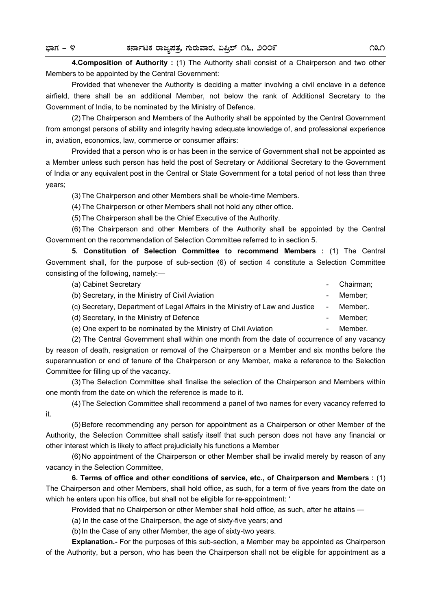**4.Composition of Authority :** (1) The Authority shall consist of a Chairperson and two other Members to be appointed by the Central Government:

 Provided that whenever the Authority is deciding a matter involving a civil enclave in a defence airfield, there shall be an additional Member, not below the rank of Additional Secretary to the Government of India, to be nominated by the Ministry of Defence.

 (2) The Chairperson and Members of the Authority shall be appointed by the Central Government from amongst persons of ability and integrity having adequate knowledge of, and professional experience in, aviation, economics, law, commerce or consumer affairs:

 Provided that a person who is or has been in the service of Government shall not be appointed as a Member unless such person has held the post of Secretary or Additional Secretary to the Government of India or any equivalent post in the Central or State Government for a total period of not less than three years;

(3) The Chairperson and other Members shall be whole-time Members.

(4) The Chairperson or other Members shall not hold any other office.

(5) The Chairperson shall be the Chief Executive of the Authority.

 (6) The Chairperson and other Members of the Authority shall be appointed by the Central Government on the recommendation of Selection Committee referred to in section 5.

 **5. Constitution of Selection Committee to recommend Members :** (1) The Central Government shall, for the purpose of sub-section (6) of section 4 constitute a Selection Committee consisting of the following, namely:—

| (a) Cabinet Secretary | - Chairman; |
|-----------------------|-------------|
|                       |             |

(b) Secretary, in the Ministry of Civil Aviation - Member;

(c) Secretary, Department of Legal Affairs in the Ministry of Law and Justice - Member;.

(d) Secretary, in the Ministry of Defence  $\blacksquare$  - Member;

(e) One expert to be nominated by the Ministry of Civil Aviation **- Member.** 

 (2) The Central Government shall within one month from the date of occurrence of any vacancy by reason of death, resignation or removal of the Chairperson or a Member and six months before the superannuation or end of tenure of the Chairperson or any Member, make a reference to the Selection Committee for filling up of the vacancy.

 (3) The Selection Committee shall finalise the selection of the Chairperson and Members within one month from the date on which the reference is made to it.

 (4) The Selection Committee shall recommend a panel of two names for every vacancy referred to it.

 (5) Before recommending any person for appointment as a Chairperson or other Member of the Authority, the Selection Committee shall satisfy itself that such person does not have any financial or other interest which is likely to affect prejudicially his functions a Member

 (6) No appointment of the Chairperson or other Member shall be invalid merely by reason of any vacancy in the Selection Committee,

 **6. Terms of office and other conditions of service, etc., of Chairperson and Members :** (1) The Chairperson and other Members, shall hold office, as such, for a term of five years from the date on which he enters upon his office, but shall not be eligible for re-appointment: '

Provided that no Chairperson or other Member shall hold office, as such, after he attains —

(a) In the case of the Chairperson, the age of sixty-five years; and

(b) In the Case of any other Member, the age of sixty-two years.

**Explanation.-** For the purposes of this sub-section, a Member may be appointed as Chairperson of the Authority, but a person, who has been the Chairperson shall not be eligible for appointment as a

- 
- 
- 
- 
- 
- 
-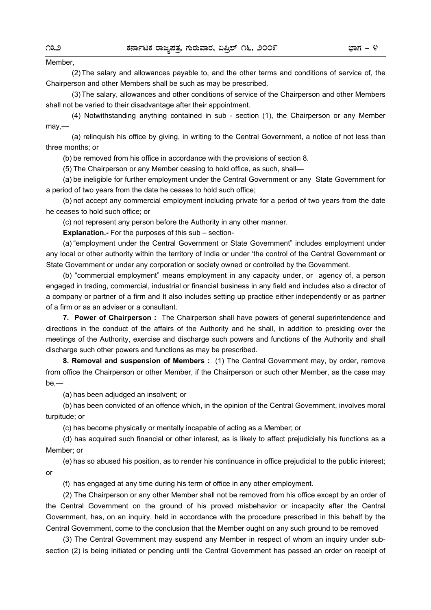### Member,

 (2) The salary and allowances payable to, and the other terms and conditions of service of, the Chairperson and other Members shall be such as may be prescribed.

 (3) The salary, allowances and other conditions of service of the Chairperson and other Members shall not be varied to their disadvantage after their appointment.

 (4) Notwithstanding anything contained in sub - section (1), the Chairperson or any Member may,—

(a) relinquish his office by giving, in writing to the Central Government, a notice of not less than three months; or

(b) be removed from his office in accordance with the provisions of section 8.

(5) The Chairperson or any Member ceasing to hold office, as such, shall—

 (a) be ineligible for further employment under the Central Government or any State Government for a period of two years from the date he ceases to hold such office;

 (b) not accept any commercial employment including private for a period of two years from the date he ceases to hold such office; or

(c) not represent any person before the Authority in any other manner.

**Explanation.-** For the purposes of this sub – section-

 (a) "employment under the Central Government or State Government" includes employment under any local or other authority within the territory of India or under 'the control of the Central Government or State Government or under any corporation or society owned or controlled by the Government.

 (b) "commercial employment" means employment in any capacity under, or agency of, a person engaged in trading, commercial, industrial or financial business in any field and includes also a director of a company or partner of a firm and It also includes setting up practice either independently or as partner of a firm or as an adviser or a consultant.

 **7. Power of Chairperson :** The Chairperson shall have powers of general superintendence and directions in the conduct of the affairs of the Authority and he shall, in addition to presiding over the meetings of the Authority, exercise and discharge such powers and functions of the Authority and shall discharge such other powers and functions as may be prescribed.

 **8. Removal and suspension of Members :** (1) The Central Government may, by order, remove from office the Chairperson or other Member, if the Chairperson or such other Member, as the case may be,—

(a) has been adjudged an insolvent; or

 (b) has been convicted of an offence which, in the opinion of the Central Government, involves moral turpitude; or

(c) has become physically or mentally incapable of acting as a Member; or

 (d) has acquired such financial or other interest, as is likely to affect prejudicially his functions as a Member; or

 (e) has so abused his position, as to render his continuance in office prejudicial to the public interest; or

(f) has engaged at any time during his term of office in any other employment.

 (2) The Chairperson or any other Member shall not be removed from his office except by an order of the Central Government on the ground of his proved misbehavior or incapacity after the Central Government, has, on an inquiry, held in accordance with the procedure prescribed in this behalf by the Central Government, come to the conclusion that the Member ought on any such ground to be removed

 (3) The Central Government may suspend any Member in respect of whom an inquiry under subsection (2) is being initiated or pending until the Central Government has passed an order on receipt of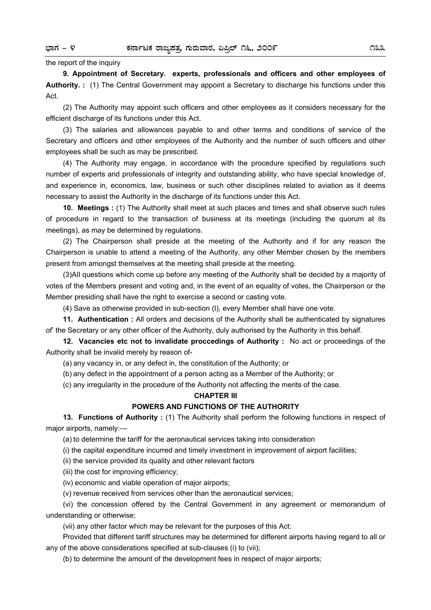### the report of the inquiry

 **9. Appointment of Secretary. experts, professionals and officers and other employees of Authority. :** (1) The Central Government may appoint a Secretary to discharge his functions under this Act.

(2) The Authority may appoint such officers and other employees as it considers necessary for the efficient discharge of its functions under this Act.

 (3) The salaries and allowances payable to and other terms and conditions of service of the Secretary and officers and other employees of the Authority and the number of such officers and other employees shall be such as may be prescribed.

 (4) The Authority may engage, in accordance with the procedure specified by regulations such number of experts and professionals of integrity and outstanding ability, who have special knowledge of, and experience in, economics, law, business or such other disciplines related to aviation as it deems necessary to assist the Authority in the discharge of its functions under this Act.

 **10. Meetings :** (1) The Authority shall meet at such places and times and shall observe such rules of procedure in regard to the transaction of business at its meetings (including the quorum at its meetings), as may be determined by regulations.

(2) The Chairperson shall preside at the meeting of the Authority and if for any reason the Chairperson is unable to attend a meeting of the Authority, any other Member chosen by the members present from amongst themselves at the meeting shall preside at the meeting.

 (3)AlI questions which come up before any meeting of the Authority shall be decided by a majority of votes of the Members present and voting and, in the event of an equality of votes, the Chairperson or the Member presiding shall have the right to exercise a second or casting vote.

(4) Save as otherwise provided in sub-section (I), every Member shall have one vote.

 **11. Authentication :** All orders and decisions of the Authority shall be authenticated by signatures of' the Secretary or any other officer of the Authority, duly authorised by the Authority in this behalf.

 **12. Vacancies etc not to invalidate proccedings of Authority :** No act or proceedings of the Authority shall be invalid merely by reason of-

(a) any vacancy in, or any defect in, the constitution of the Authority; or

(b) any defect in the appointment of a person acting as a Member of the Authority; or

(c) any irregularity in the procedure of the Authority not affecting the merits of the case.

### **CHAPTER III**

### **POWERS AND FUNCTIONS OF THE AUTHORITY**

**13. Functions of Authority :** (1) The Authority shall perform the following functions in respect of major airports, namely:—

(a) to determine the tariff for the aeronautical services taking into consideration

(i) the capital expenditure incurred and timely investment in improvement of airport facilities;

(ii) the service provided its quality and other relevant factors

(iii) the cost for improving efficiency;

(iv) economic and viable operation of major airports;

(v) revenue received from services other than the aeronautical services;

 (vi) the concession offered by the Central Government in any agreement or memorandum of understanding or otherwise;

(vii) any other factor which may be relevant for the purposes of this Act:

 Provided that different tariff structures may be determined for different airports having regard to all or any of the above considerations specified at sub-clauses (i) to (vii);

(b) to determine the amount of the development fees in respect of major airports;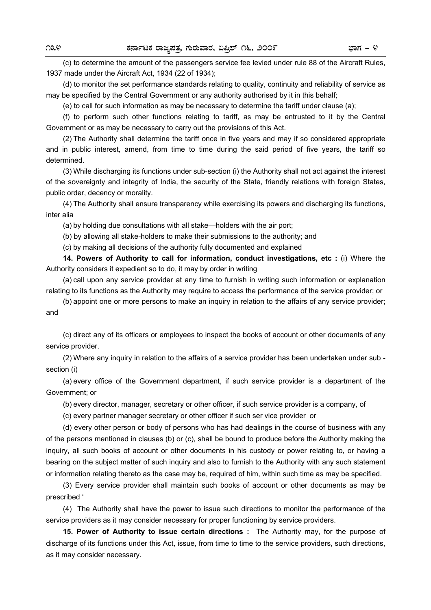(c) to determine the amount of the passengers service fee levied under rule 88 of the Aircraft Rules, 1937 made under the Aircraft Act, 1934 (22 of 1934);

 (d) to monitor the set performance standards relating to quality, continuity and reliability of service as may be specified by the Central Government or any authority authorised by it in this behalf;

(e) to call for such information as may be necessary to determine the tariff under clause (a);

 (f) to perform such other functions relating to tariff, as may be entrusted to it by the Central Government or as may be necessary to carry out the provisions of this Act.

 (2) The Authority shall determine the tariff once in five years and may if so considered appropriate and in public interest, amend, from time to time during the said period of five years, the tariff so determined.

 (3) While discharging its functions under sub-section (i) the Authority shall not act against the interest of the sovereignty and integrity of India, the security of the State, friendly relations with foreign States, public order, decency or morality.

 (4) The Authority shall ensure transparency while exercising its powers and discharging its functions, inter alia

(a) by holding due consultations with all stake—holders with the air port;

(b) by allowing all stake-holders to make their submissions to the authority; and

(c) by making all decisions of the authority fully documented and explained

 **14. Powers of Authority to call for information, conduct investigations, etc :** (i) Where the Authority considers it expedient so to do, it may by order in writing

(a) call upon any service provider at any time to furnish in writing such information or explanation relating to its functions as the Authority may require to access the performance of the service provider; or

 (b) appoint one or more persons to make an inquiry in relation to the affairs of any service provider; and

 (c) direct any of its officers or employees to inspect the books of account or other documents of any service provider.

 (2) Where any inquiry in relation to the affairs of a service provider has been undertaken under sub section (i)

 (a) every office of the Government department, if such service provider is a department of the Government; or

(b) every director, manager, secretary or other officer, if such service provider is a company, of

(c) every partner manager secretary or other officer if such ser vice provider or

 (d) every other person or body of persons who has had dealings in the course of business with any of the persons mentioned in clauses (b) or (c), shall be bound to produce before the Authority making the inquiry, all such books of account or other documents in his custody or power relating to, or having a bearing on the subject matter of such inquiry and also to furnish to the Authority with any such statement or information relating thereto as the case may be, required of him, within such time as may be specified.

 (3) Every service provider shall maintain such books of account or other documents as may be prescribed '

 (4) The Authority shall have the power to issue such directions to monitor the performance of the service providers as it may consider necessary for proper functioning by service providers.

 **15. Power of Authority to issue certain directions :** The Authority may, for the purpose of discharge of its functions under this Act, issue, from time to time to the service providers, such directions, as it may consider necessary.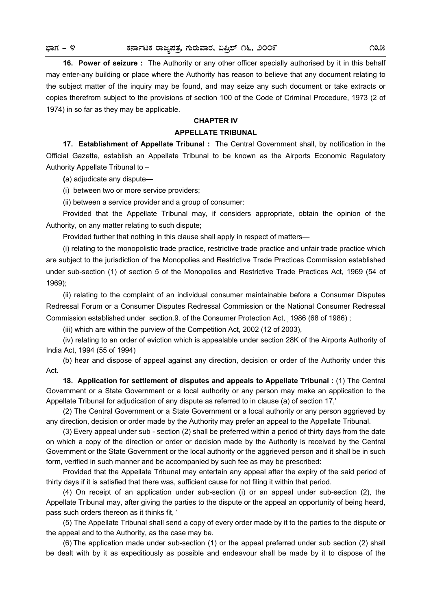**16. Power of seizure :** The Authority or any other officer specially authorised by it in this behalf may enter-any building or place where the Authority has reason to believe that any document relating to the subject matter of the inquiry may be found, and may seize any such document or take extracts or copies therefrom subject to the provisions of section 100 of the Code of Criminal Procedure, 1973 (2 of 1974) in so far as they may be applicable.

# **CHAPTER IV**

## **APPELLATE TRIBUNAL**

 **17. Establishment of Appellate Tribunal :** The Central Government shall, by notification in the Official Gazette, establish an Appellate Tribunal to be known as the Airports Economic Regulatory Authority Appellate Tribunal to –

 **(**a) adjudicate any dispute—

(i) between two or more service providers;

(ii) between a service provider and a group of consumer:

 Provided that the Appellate Tribunal may, if considers appropriate, obtain the opinion of the Authority, on any matter relating to such dispute;

Provided further that nothing in this clause shall apply in respect of matters—

 (i) relating to the monopolistic trade practice, restrictive trade practice and unfair trade practice which are subject to the jurisdiction of the Monopolies and Restrictive Trade Practices Commission established under sub-section (1) of section 5 of the Monopolies and Restrictive Trade Practices Act, 1969 (54 of 1969);

 (ii) relating to the complaint of an individual consumer maintainable before a Consumer Disputes Redressal Forum or a Consumer Disputes Redressal Commission or the National Consumer Redressal Commission established under section.9. of the Consumer Protection Act, 1986 (68 of 1986);

(iii) which are within the purview of the Competition Act, 2002 (12 of 2003),

 (iv) relating to an order of eviction which is appealable under section 28K of the Airports Authority of India Act, 1994 (55 of 1994)

 (b) hear and dispose of appeal against any direction, decision or order of the Authority under this Act.

**18. Application for settlement of disputes and appeals to Appellate Tribunal : (1) The Central** Government or a State Government or a local authority or any person may make an application to the Appellate Tribunal for adjudication of any dispute as referred to in clause (a) of section 17,'

(2) The Central Government or a State Government or a local authority or any person aggrieved by any direction, decision or order made by the Authority may prefer an appeal to the Appellate Tribunal.

 (3) Every appeal under sub - section (2) shall be preferred within a period of thirty days from the date on which a copy of the direction or order or decision made by the Authority is received by the Central Government or the State Government or the local authority or the aggrieved person and it shall be in such form, verified in such manner and be accompanied by such fee as may be prescribed:

 Provided that the Appellate Tribunal may entertain any appeal after the expiry of the said period of thirty days if it is satisfied that there was, sufficient cause for not filing it within that period.

 (4) On receipt of an application under sub-section (i) or an appeal under sub-section (2), the Appellate Tribunal may, after giving the parties to the dispute or the appeal an opportunity of being heard, pass such orders thereon as it thinks fit, '

 (5) The Appellate Tribunal shall send a copy of every order made by it to the parties to the dispute or the appeal and to the Authority, as the case may be.

 (6) The application made under sub-section (1) or the appeal preferred under sub section (2) shall be dealt with by it as expeditiously as possible and endeavour shall be made by it to dispose of the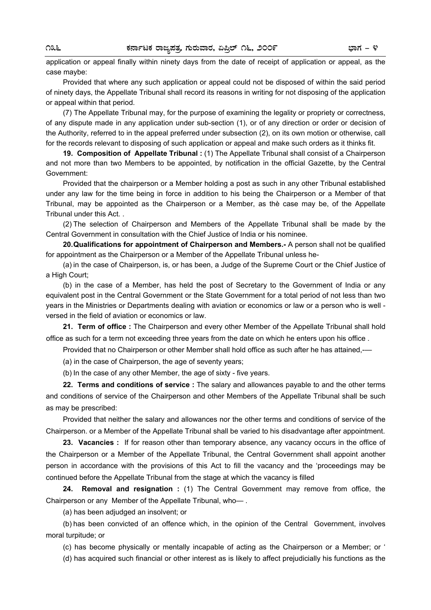application or appeal finally within ninety days from the date of receipt of application or appeal, as the case maybe:

 Provided that where any such application or appeal could not be disposed of within the said period of ninety days, the Appellate Tribunal shall record its reasons in writing for not disposing of the application or appeal within that period.

 (7) The Appellate Tribunal may, for the purpose of examining the legality or propriety or correctness, of any dispute made in any application under sub-section (1), or of any direction or order or decision of the Authority, referred to in the appeal preferred under subsection (2), on its own motion or otherwise, call for the records relevant to disposing of such application or appeal and make such orders as it thinks fit.

 **19. Composition of Appellate Tribunal :** (1) The Appellate Tribunal shall consist of a Chairperson and not more than two Members to be appointed, by notification in the official Gazette, by the Central Government:

 Provided that the chairperson or a Member holding a post as such in any other Tribunal established under any law for the time being in force in addition to his being the Chairperson or a Member of that Tribunal, may be appointed as the Chairperson or a Member, as thè case may be, of the Appellate Tribunal under this Act. .

 (2) The selection of Chairperson and Members of the Appellate Tribunal shall be made by the Central Government in consultation with the Chief Justice of India or his nominee.

**20. Qualifications for appointment of Chairperson and Members.-** A person shall not be qualified for appointment as the Chairperson or a Member of the Appellate Tribunal unless he-

 (a) in the case of Chairperson, is, or has been, a Judge of the Supreme Court or the Chief Justice of a High Court;

 (b) in the case of a Member, has held the post of Secretary to the Government of India or any equivalent post in the Central Government or the State Government for a total period of not less than two years in the Ministries or Departments dealing with aviation or economics or law or a person who is well versed in the field of aviation or economics or law.

**21. Term of office :** The Chairperson and every other Member of the Appellate Tribunal shall hold office as such for a term not exceeding three years from the date on which he enters upon his office .

Provided that no Chairperson or other Member shall hold office as such after he has attained,-

(a) in the case of Chairperson, the age of seventy years;

(b) In the case of any other Member, the age of sixty - five years.

 **22. Terms and conditions of service :** The salary and allowances payable to and the other terms and conditions of service of the Chairperson and other Members of the Appellate Tribunal shall be such as may be prescribed:

Provided that neither the salary and allowances nor the other terms and conditions of service of the Chairperson. or a Member of the Appellate Tribunal shall be varied to his disadvantage after appointment.

 **23. Vacancies :** If for reason other than temporary absence, any vacancy occurs in the office of the Chairperson or a Member of the Appellate Tribunal, the Central Government shall appoint another person in accordance with the provisions of this Act to fill the vacancy and the 'proceedings may be continued before the Appellate Tribunal from the stage at which the vacancy is filled

 **24. Removal and resignation :** (1) The Central Government may remove from office, the Chairperson or any Member of the Appellate Tribunal, who— .

(a) has been adjudged an insolvent; or

 (b) has been convicted of an offence which, in the opinion of the Central Government, involves moral turpitude; or

(c) has become physically or mentally incapable of acting as the Chairperson or a Member; or '

(d) has acquired such financial or other interest as is likely to affect prejudicially his functions as the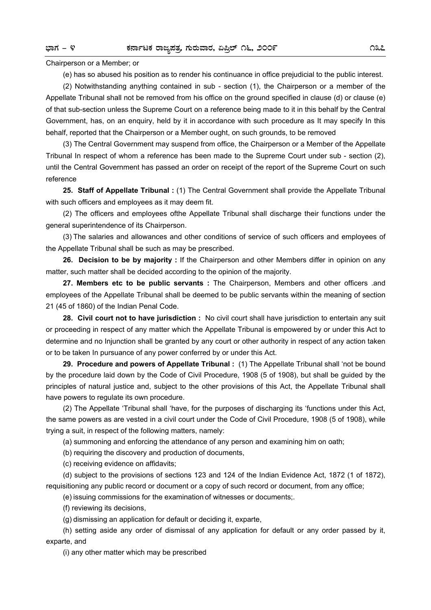Chairperson or a Member; or

(e) has so abused his position as to render his continuance in office prejudicial to the public interest.

 (2) Notwithstanding anything contained in sub - section (1), the Chairperson or a member of the Appellate Tribunal shall not be removed from his office on the ground specified in clause (d) or clause (e) of that sub-section unless the Supreme Court on a reference being made to it in this behalf by the Central Government, has, on an enquiry, held by it in accordance with such procedure as It may specify In this behalf, reported that the Chairperson or a Member ought, on such grounds, to be removed

 (3) The Central Government may suspend from office, the Chairperson or a Member of the Appellate Tribunal In respect of whom a reference has been made to the Supreme Court under sub - section (2), until the Central Government has passed an order on receipt of the report of the Supreme Court on such reference

 **25. Staff of Appellate Tribunal :** (1) The Central Government shall provide the Appellate Tribunal with such officers and employees as it may deem fit.

(2) The officers and employees ofthe Appellate Tribunal shall discharge their functions under the general superintendence of its Chairperson.

 (3) The salaries and allowances and other conditions of service of such officers and employees of the Appellate Tribunal shall be such as may be prescribed.

 **26. Decision to be by majority :** If the Chairperson and other Members differ in opinion on any matter, such matter shall be decided according to the opinion of the majority.

 **27. Members etc to be public servants :** The Chairperson, Members and other officers .and employees of the Appellate Tribunal shall be deemed to be public servants within the meaning of section 21 (45 of 1860) of the Indian Penal Code.

 **28. Civil court not to have jurisdiction :** No civil court shall have jurisdiction to entertain any suit or proceeding in respect of any matter which the Appellate Tribunal is empowered by or under this Act to determine and no Injunction shall be granted by any court or other authority in respect of any action taken or to be taken In pursuance of any power conferred by or under this Act.

**29. Procedure and powers of Appellate Tribunal :** (1) The Appellate Tribunal shall 'not be bound by the procedure laid down by the Code of Civil Procedure, 1908 (5 of 1908), but shall be guided by the principles of natural justice and, subject to the other provisions of this Act, the Appellate Tribunal shall have powers to regulate its own procedure.

 (2) The Appellate 'Tribunal shall 'have, for the purposes of discharging its 'functions under this Act, the same powers as are vested in a civil court under the Code of Civil Procedure, 1908 (5 of 1908), while trying a suit, in respect of the following matters, namely:

(a) summoning and enforcing the attendance of any person and examining him on oath;

(b) requiring the discovery and production of documents,

(c) receiving evidence on affidavits;

 (d) subject to the provisions of sections 123 and 124 of the Indian Evidence Act, 1872 (1 of 1872), requisitioning any public record or document or a copy of such record or document, from any office;

(e) issuing commissions for the examination of witnesses or documents;.

(f) reviewing its decisions,

(g) dismissing an application for default or deciding it, exparte,

 (h) setting aside any order of dismissal of any application for default or any order passed by it, exparte, and

(i) any other matter which may be prescribed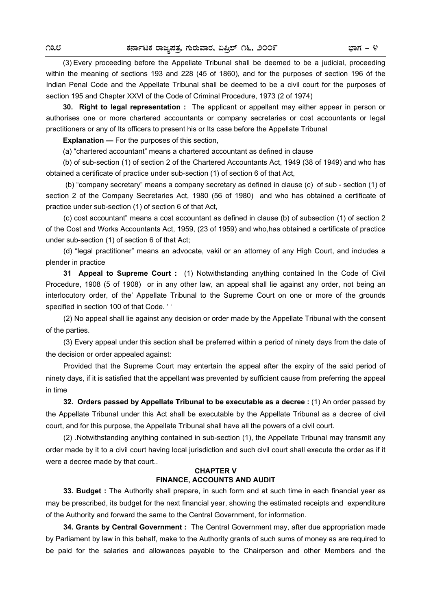(3) Every proceeding before the Appellate Tribunal shall be deemed to be a judicial, proceeding within the meaning of sections 193 and 228 (45 of 1860), and for the purposes of section 196 óf the Indian Penal Code and the Appellate Tribunal shall be deemed to be a civil court for the purposes of section 195 and Chapter XXVI of the Code of Criminal Procedure, 1973 (2 of 1974)

**30. Right to legal representation :** The applicant or appellant may either appear in person or authorises one or more chartered accountants or company secretaries or cost accountants or legal practitioners or any of Its officers to present his or Its case before the Appellate Tribunal

**Explanation —** For the purposes of this section,

(a) "chartered accountant" means a chartered accountant as defined in clause

 (b) of sub-section (1) of section 2 of the Chartered Accountants Act, 1949 (38 of 1949) and who has obtained a certificate of practice under sub-section (1) of section 6 of that Act,

 (b) "company secretary" means a company secretary as defined in clause (c) of sub - section (1) of section 2 of the Company Secretaries Act, 1980 (56 of 1980) and who has obtained a certificate of practice under sub-section (1) of section 6 of that Act,

(c) cost accountant" means a cost accountant as defined in clause (b) of subsection (1) of section 2 of the Cost and Works Accountants Act, 1959, (23 of 1959) and who,has obtained a certificate of practice under sub-section (1) of section 6 of that Act;

(d) "legal practitioner" means an advocate, vakil or an attorney of any High Court, and includes a plender in practice

**31 Appeal to Supreme Court :** (1) Notwithstanding anything contained In the Code of Civil Procedure, 1908 (5 of 1908) or in any other law, an appeal shall lie against any order, not being an interlocutory order, of the' Appellate Tribunal to the Supreme Court on one or more of the grounds specified in section 100 of that Code. ' '

(2) No appeal shall lie against any decision or order made by the Appellate Tribunal with the consent of the parties.

(3) Every appeal under this section shall be preferred within a period of ninety days from the date of the decision or order appealed against:

Provided that the Supreme Court may entertain the appeal after the expiry of the said period of ninety days, if it is satisfied that the appellant was prevented by sufficient cause from preferring the appeal in time

**32. Orders passed by Appellate Tribunal to be executable as a decree :** (1) An order passed by the Appellate Tribunal under this Act shall be executable by the Appellate Tribunal as a decree of civil court, and for this purpose, the Appellate Tribunal shall have all the powers of a civil court.

(2) .Notwithstanding anything contained in sub-section (1), the Appellate Tribunal may transmit any order made by it to a civil court having local jurisdiction and such civil court shall execute the order as if it were a decree made by that court..

## **CHAPTER V FINANCE, ACCOUNTS AND AUDIT**

**33. Budget :** The Authority shall prepare, in such form and at such time in each financial year as may be prescribed, its budget for the next financial year, showing the estimated receipts and expenditure of the Authority and forward the same to the Central Government, for information.

**34. Grants by Central Government :** The Central Government may, after due appropriation made by Parliament by law in this behalf, make to the Authority grants of such sums of money as are required to be paid for the salaries and allowances payable to the Chairperson and other Members and the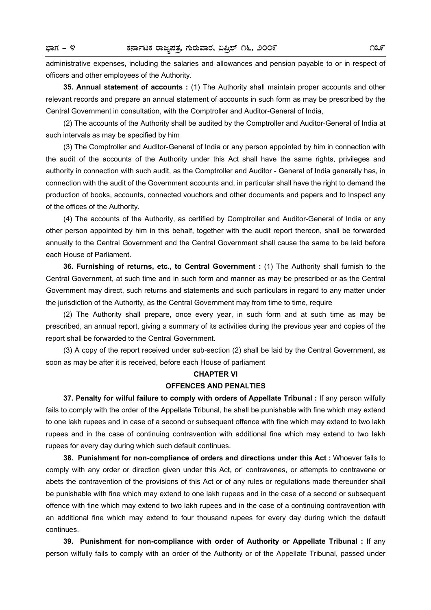administrative expenses, including the salaries and allowances and pension payable to or in respect of officers and other employees of the Authority.

**35. Annual statement of accounts :** (1) The Authority shall maintain proper accounts and other relevant records and prepare an annual statement of accounts in such form as may be prescribed by the Central Government in consultation, with the Comptroller and Auditor-General of India,

(2) The accounts of the Authority shall be audited by the Comptroller and Auditor-General of India at such intervals as may be specified by him

(3) The Comptroller and Auditor-General of India or any person appointed by him in connection with the audit of the accounts of the Authority under this Act shall have the same rights, privileges and authority in connection with such audit, as the Comptroller and Auditor - General of India generally has, in connection with the audit of the Government accounts and, in particular shall have the right to demand the production of books, accounts, connected vouchors and other documents and papers and to Inspect any of the offices of the Authority.

(4) The accounts of the Authority, as certified by Comptroller and Auditor-General of India or any other person appointed by him in this behalf, together with the audit report thereon, shall be forwarded annually to the Central Government and the Central Government shall cause the same to be laid before each House of Parliament.

**36. Furnishing of returns, etc., to Central Government :** (1) The Authority shall furnish to the Central Government, at such time and in such form and manner as may be prescribed or as the Central Government may direct, such returns and statements and such particulars in regard to any matter under the jurisdiction of the Authority, as the Central Government may from time to time, require

(2) The Authority shall prepare, once every year, in such form and at such time as may be prescribed, an annual report, giving a summary of its activities during the previous year and copies of the report shall be forwarded to the Central Government.

(3) A copy of the report received under sub-section (2) shall be laid by the Central Government, as soon as may be after it is received, before each House of parliament

### **CHAPTER VI**

### **OFFENCES AND PENALTIES**

**37. Penalty for wilful failure to comply with orders of Appellate Tribunal :** If any person wilfully fails to comply with the order of the Appellate Tribunal, he shall be punishable with fine which may extend to one lakh rupees and in case of a second or subsequent offence with fine which may extend to two lakh rupees and in the case of continuing contravention with additional fine which may extend to two Iakh rupees for every day during which such default continues.

**38. Punishment for non-compliance of orders and directions under this Act :** Whoever fails to comply with any order or direction given under this Act, or' contravenes, or attempts to contravene or abets the contravention of the provisions of this Act or of any rules or regulations made thereunder shall be punishable with fine which may extend to one lakh rupees and in the case of a second or subsequent offence with fine which may extend to two lakh rupees and in the case of a continuing contravention with an additional fine which may extend to four thousand rupees for every day during which the default continues.

**39. Punishment for non-compliance with order of Authority or Appellate Tribunal :** If any person wilfully fails to comply with an order of the Authority or of the Appellate Tribunal, passed under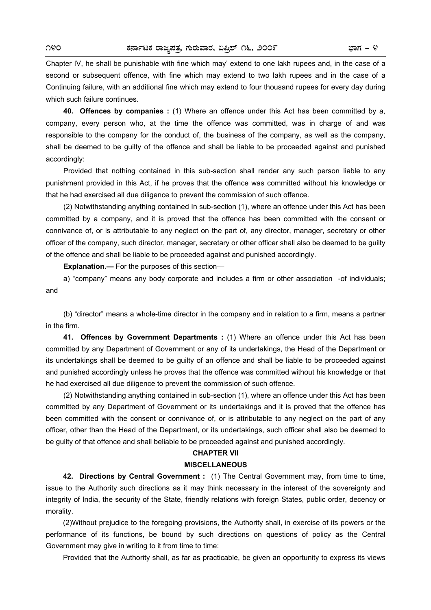Chapter IV, he shall be punishable with fine which may' extend to one lakh rupees and, in the case of a second or subsequent offence, with fine which may extend to two lakh rupees and in the case of a Continuing failure, with an additional fine which may extend to four thousand rupees for every day during which such failure continues.

**40. Offences by companies :** (1) Where an offence under this Act has been committed by a, company, every person who, at the time the offence was committed, was in charge of and was responsible to the company for the conduct of, the business of the company, as well as the company, shall be deemed to be guilty of the offence and shall be liable to be proceeded against and punished accordingly:

Provided that nothing contained in this sub-section shall render any such person liable to any punishment provided in this Act, if he proves that the offence was committed without his knowledge or that he had exercised all due diligence to prevent the commission of such offence.

(2) Notwithstanding anything contained In sub-section (1), where an offence under this Act has been committed by a company, and it is proved that the offence has been committed with the consent or connivance of, or is attributable to any neglect on the part of, any director, manager, secretary or other officer of the company, such director, manager, secretary or other officer shall also be deemed to be guilty of the offence and shall be liable to be proceeded against and punished accordingly.

**Explanation.—** For the purposes of this section—

a) "company" means any body corporate and includes a firm or other association -of individuals; and

(b) "director" means a whole-time director in the company and in relation to a firm, means a partner in the firm.

**41. Offences by Government Departments :** (1) Where an offence under this Act has been committed by any Department of Government or any of its undertakings, the Head of the Department or its undertakings shall be deemed to be guilty of an offence and shall be liable to be proceeded against and punished accordingly unless he proves that the offence was committed without his knowledge or that he had exercised all due diligence to prevent the commission of such offence.

(2) Notwithstanding anything contained in sub-section (1), where an offence under this Act has been committed by any Department of Government or its undertakings and it is proved that the offence has been committed with the consent or connivance of, or is attributable to any neglect on the part of any officer, other than the Head of the Department, or its undertakings, such officer shall also be deemed to be guilty of that offence and shall beliable to be proceeded against and punished accordingly.

## **CHAPTER VII**

## **MISCELLANEOUS**

**42. Directions by Central Government :** (1) The Central Government may, from time to time, issue to the Authority such directions as it may think necessary in the interest of the sovereignty and integrity of India, the security of the State, friendly relations with foreign States, public order, decency or morality.

(2)Without prejudice to the foregoing provisions, the Authority shall, in exercise of its powers or the performance of its functions, be bound by such directions on questions of policy as the Central Government may give in writing to it from time to time:

Provided that the Authority shall, as far as practicable, be given an opportunity to express its views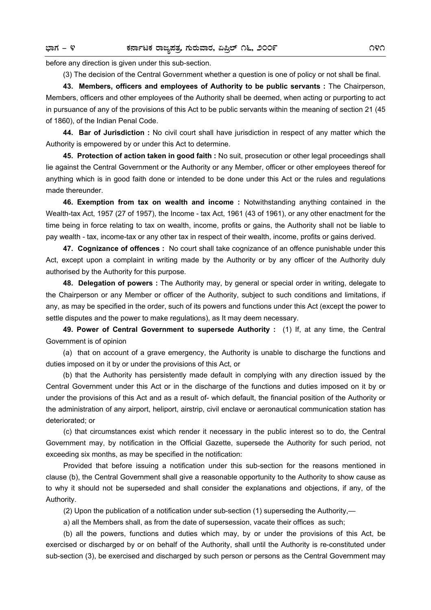before any direction is given under this sub-section.

(3) The decision of the Central Government whether a question is one of policy or not shall be final.

**43. Members, officers and employees of Authority to be public servants :** The Chairperson, Members, officers and other employees of the Authority shall be deemed, when acting or purporting to act in pursuance of any of the provisions of this Act to be public servants within the meaning of section 21 (45 of 1860), of the Indian Penal Code.

**44. Bar of Jurisdiction :** No civil court shall have jurisdiction in respect of any matter which the Authority is empowered by or under this Act to determine.

**45. Protection of action taken in good faith :** No suit, prosecution or other legal proceedings shall lie against the Central Government or the Authority or any Member, officer or other employees thereof for anything which is in good faith done or intended to be done under this Act or the rules and regulations made thereunder.

**46. Exemption from tax on wealth and income :** Notwithstanding anything contained in the Wealth-tax Act, 1957 (27 of 1957), the Income - tax Act, 1961 (43 of 1961), or any other enactment for the time being in force relating to tax on wealth, income, profits or gains, the Authority shall not be liable to pay wealth - tax, income-tax or any other tax in respect of their wealth, income, profits or gains derived.

**47. Cognizance of offences :** No court shall take cognizance of an offence punishable under this Act, except upon a complaint in writing made by the Authority or by any officer of the Authority duly authorised by the Authority for this purpose.

**48. Delegation of powers :** The Authority may, by general or special order in writing, delegate to the Chairperson or any Member or officer of the Authority, subject to such conditions and limitations, if any, as may be specified in the order, such of its powers and functions under this Act (except the power to settle disputes and the power to make regulations), as It may deem necessary.

**49. Power of Central Government to supersede Authority :** (1) If, at any time, the Central Government is of opinion

(a) that on account of a grave emergency, the Authority is unable to discharge the functions and duties imposed on it by or under the provisions of this Act, or

(b) that the Authority has persistently made default in complying with any direction issued by the Central Government under this Act or in the discharge of the functions and duties imposed on it by or under the provisions of this Act and as a result of- which default, the financial position of the Authority or the administration of any airport, heliport, airstrip, civil enclave or aeronautical communication station has deteriorated; or

(c) that circumstances exist which render it necessary in the public interest so to do, the Central Government may, by notification in the Official Gazette, supersede the Authority for such period, not exceeding six months, as may be specified in the notification:

Provided that before issuing a notification under this sub-section for the reasons mentioned in clause (b), the Central Government shall give a reasonable opportunity to the Authority to show cause as to why it should not be superseded and shall consider the explanations and objections, if any, of the Authority.

(2) Upon the publication of a notification under sub-section (1) superseding the Authority,—

a) all the Members shall, as from the date of supersession, vacate their offices as such;

(b) all the powers, functions and duties which may, by or under the provisions of this Act, be exercised or discharged by or on behalf of the Authority, shall until the Authority is re-constituted under sub-section (3), be exercised and discharged by such person or persons as the Central Government may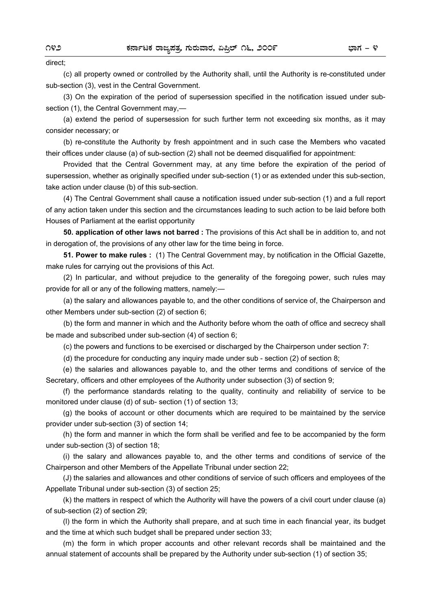#### direct;

(c) all property owned or controlled by the Authority shall, until the Authority is re-constituted under sub-section (3), vest in the Central Government.

(3) On the expiration of the period of supersession specified in the notification issued under subsection (1), the Central Government may,—

(a) extend the period of supersession for such further term not exceeding six months, as it may consider necessary; or

(b) re-constitute the Authority by fresh appointment and in such case the Members who vacated their offices under clause (a) of sub-section (2) shall not be deemed disqualified for appointment:

Provided that the Central Government may, at any time before the expiration of the period of supersession, whether as originally specified under sub-section (1) or as extended under this sub-section, take action under clause (b) of this sub-section.

(4) The Central Government shall cause a notification issued under sub-section (1) and a full report of any action taken under this section and the circumstances leading to such action to be laid before both Houses of Parliament at the earlist opportunity

**50. application of other laws not barred :** The provisions of this Act shall be in addition to, and not in derogation of, the provisions of any other law for the time being in force.

**51. Power to make rules :** (1) The Central Government may, by notification in the Official Gazette, make rules for carrying out the provisions of this Act.

(2) In particular, and without prejudice to the generality of the foregoing power, such rules may provide for all or any of the following matters, namely:—

(a) the salary and allowances payable to, and the other conditions of service of, the Chairperson and other Members under sub-section (2) of section 6;

(b) the form and manner in which and the Authority before whom the oath of office and secrecy shall be made and subscribed under sub-section (4) of section 6;

(c) the powers and functions to be exercised or discharged by the Chairperson under section 7:

(d) the procedure for conducting any inquiry made under sub - section (2) of section 8;

(e) the salaries and allowances payable to, and the other terms and conditions of service of the Secretary, officers and other employees of the Authority under subsection (3) of section 9;

(f) the performance standards relating to the quality, continuity and reliability of service to be monitored under clause (d) of sub- section (1) of section 13;

(g) the books of account or other documents which are required to be maintained by the service provider under sub-section (3) of section 14;

(h) the form and manner in which the form shall be verified and fee to be accompanied by the form under sub-section (3) of section 18;

(i) the salary and allowances payable to, and the other terms and conditions of service of the Chairperson and other Members of the Appellate Tribunal under section 22;

(J) the salaries and allowances and other conditions of service of such officers and employees of the Appellate Tribunal under sub-section (3) of section 25;

(k) the matters in respect of which the Authority will have the powers of a civil court under clause (a) of sub-section (2) of section 29;

(l) the form in which the Authority shall prepare, and at such time in each financial year, its budget and the time at which such budget shall be prepared under section 33;

(m) the form in which proper accounts and other relevant records shall be maintained and the annual statement of accounts shall be prepared by the Authority under sub-section (1) of section 35;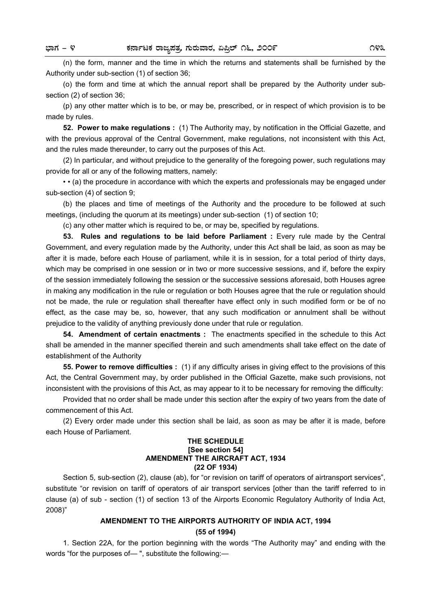(n) the form, manner and the time in which the returns and statements shall be furnished by the Authority under sub-section (1) of section 36;

(o) the form and time at which the annual report shall be prepared by the Authority under subsection (2) of section 36;

(p) any other matter which is to be, or may be, prescribed, or in respect of which provision is to be made by rules.

**52. Power to make regulations :** (1) The Authority may, by notification in the Official Gazette, and with the previous approval of the Central Government, make regulations, not inconsistent with this Act, and the rules made thereunder, to carry out the purposes of this Act.

(2) In particular, and without prejudice to the generality of the foregoing power, such regulations may provide for all or any of the following matters, namely:

• • (a) the procedure in accordance with which the experts and professionals may be engaged under sub-section (4) of section 9;

(b) the places and time of meetings of the Authority and the procedure to be followed at such meetings, (including the quorum at its meetings) under sub-section (1) of section 10;

(c) any other matter which is required to be, or may be, specified by regulations.

**53. Rules and regulations to be laid before Parliament :** Every rule made by the Central Government, and every regulation made by the Authority, under this Act shall be laid, as soon as may be after it is made, before each House of parliament, while it is in session, for a total period of thirty days, which may be comprised in one session or in two or more successive sessions, and if, before the expiry of the session immediately following the session or the successive sessions aforesaid, both Houses agree in making any modification in the rule or regulation or both Houses agree that the rule or regulation should not be made, the rule or regulation shall thereafter have effect only in such modified form or be of no effect, as the case may be, so, however, that any such modification or annulment shall be without prejudice to the validity of anything previously done under that rule or regulation.

**54. Amendment of certain enactments :** The enactments specified in the schedule to this Act shall be amended in the manner specified therein and such amendments shall take effect on the date of establishment of the Authority

**55. Power to remove difficulties :** (1) if any difficulty arises in giving effect to the provisions of this Act, the Central Government may, by order published in the Official Gazette, make such provisions, not inconsistent with the provisions of this Act, as may appear to it to be necessary for removing the difficulty:

Provided that no order shall be made under this section after the expiry of two years from the date of commencement of this Act.

(2) Every order made under this section shall be laid, as soon as may be after it is made, before each House of Parliament.

## **THE SCHEDULE [See section 54] AMENDMENT THE AIRCRAFT ACT, 1934 (22 OF 1934)**

Section 5, sub-section (2), clause (ab), for "or revision on tariff of operators of airtransport services", substitute "or revision on tariff of operators of air transport services [other than the tariff referred to in clause (a) of sub - section (1) of section 13 of the Airports Economic Regulatory Authority of India Act, 2008)"

## **AMENDMENT TO THE AIRPORTS AUTHORITY OF INDIA ACT, 1994 (55 of 1994)**

1. Section 22A, for the portion beginning with the words "The Authority may" and ending with the words "for the purposes of— ", substitute the following:—